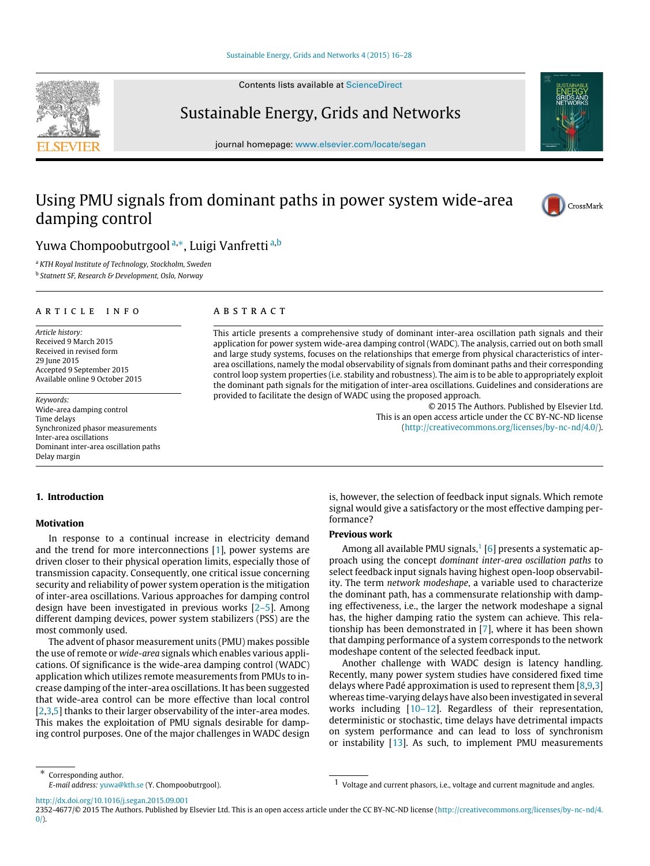### [Sustainable Energy, Grids and Networks 4 \(2015\) 16–28](http://dx.doi.org/10.1016/j.segan.2015.09.001)

Contents lists available at [ScienceDirect](http://www.elsevier.com/locate/segan)

# Sustainable Energy, Grids and Networks

journal homepage: [www.elsevier.com/locate/segan](http://www.elsevier.com/locate/segan)

# Using PMU signals from dominant paths in power system wide-area damping control



<span id="page-0-0"></span><sup>a</sup> *KTH Royal Institute of Technology, Stockholm, Sweden*

<span id="page-0-2"></span>b *Statnett SF, Research & Development, Oslo, Norway*

#### a r t i c l e i n f o

*Article history:* Received 9 March 2015 Received in revised form 29 June 2015 Accepted 9 September 2015 Available online 9 October 2015

*Keywords:* Wide-area damping control Time delays Synchronized phasor measurements Inter-area oscillations Dominant inter-area oscillation paths Delay margin

## a b s t r a c t

This article presents a comprehensive study of dominant inter-area oscillation path signals and their application for power system wide-area damping control (WADC). The analysis, carried out on both small and large study systems, focuses on the relationships that emerge from physical characteristics of interarea oscillations, namely the modal observability of signals from dominant paths and their corresponding control loop system properties (i.e. stability and robustness). The aim is to be able to appropriately exploit the dominant path signals for the mitigation of inter-area oscillations. Guidelines and considerations are provided to facilitate the design of WADC using the proposed approach.

> © 2015 The Authors. Published by Elsevier Ltd. This is an open access article under the CC BY-NC-ND license [\(http://creativecommons.org/licenses/by-nc-nd/4.0/\)](http://creativecommons.org/licenses/by-nc-nd/4.0/).

# **1. Introduction**

## **Motivation**

In response to a continual increase in electricity demand and the trend for more interconnections [\[1\]](#page--1-0), power systems are driven closer to their physical operation limits, especially those of transmission capacity. Consequently, one critical issue concerning security and reliability of power system operation is the mitigation of inter-area oscillations. Various approaches for damping control design have been investigated in previous works [\[2–5\]](#page--1-1). Among different damping devices, power system stabilizers (PSS) are the most commonly used.

The advent of phasor measurement units (PMU) makes possible the use of remote or *wide-area* signals which enables various applications. Of significance is the wide-area damping control (WADC) application which utilizes remote measurements from PMUs to increase damping of the inter-area oscillations. It has been suggested that wide-area control can be more effective than local control [\[2](#page--1-1)[,3](#page--1-2)[,5\]](#page--1-3) thanks to their larger observability of the inter-area modes. This makes the exploitation of PMU signals desirable for damping control purposes. One of the major challenges in WADC design is, however, the selection of feedback input signals. Which remote signal would give a satisfactory or the most effective damping performance?

#### **Previous work**

Among all available PMU signals,<sup>[1](#page-0-3)</sup> [\[6\]](#page--1-4) presents a systematic approach using the concept *dominant inter-area oscillation paths* to select feedback input signals having highest open-loop observability. The term *network modeshape*, a variable used to characterize the dominant path, has a commensurate relationship with damping effectiveness, i.e., the larger the network modeshape a signal has, the higher damping ratio the system can achieve. This relationship has been demonstrated in [\[7\]](#page--1-5), where it has been shown that damping performance of a system corresponds to the network modeshape content of the selected feedback input.

Another challenge with WADC design is latency handling. Recently, many power system studies have considered fixed time delays where Padé approximation is used to represent them  $[8,9,3]$  $[8,9,3]$  $[8,9,3]$ whereas time-varying delays have also been investigated in several works including [\[10–12\]](#page--1-8). Regardless of their representation, deterministic or stochastic, time delays have detrimental impacts on system performance and can lead to loss of synchronism or instability [\[13\]](#page--1-9). As such, to implement PMU measurements

<span id="page-0-1"></span>∗ Corresponding author. *E-mail address:* [yuwa@kth.se](mailto:yuwa@kth.se) (Y. Chompoobutrgool).

<http://dx.doi.org/10.1016/j.segan.2015.09.001>







<span id="page-0-3"></span><sup>1</sup> Voltage and current phasors, i.e., voltage and current magnitude and angles.

<sup>2352-4677/</sup>© 2015 The Authors. Published by Elsevier Ltd. This is an open access article under the CC BY-NC-ND license [\(http://creativecommons.org/licenses/by-nc-nd/4.](http://creativecommons.org/licenses/by-nc-nd/4.0/)  $0/$ ).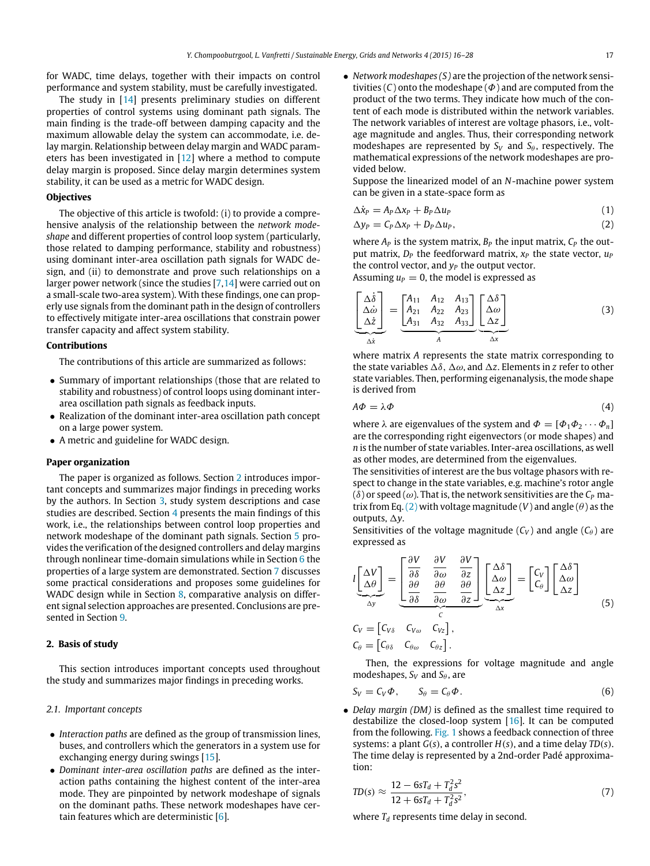for WADC, time delays, together with their impacts on control performance and system stability, must be carefully investigated.

The study in [\[14\]](#page--1-10) presents preliminary studies on different properties of control systems using dominant path signals. The main finding is the trade-off between damping capacity and the maximum allowable delay the system can accommodate, i.e. delay margin. Relationship between delay margin and WADC parameters has been investigated in [\[12\]](#page--1-11) where a method to compute delay margin is proposed. Since delay margin determines system stability, it can be used as a metric for WADC design.

#### **Objectives**

The objective of this article is twofold: (i) to provide a comprehensive analysis of the relationship between the *network modeshape* and different properties of control loop system (particularly, those related to damping performance, stability and robustness) using dominant inter-area oscillation path signals for WADC design, and (ii) to demonstrate and prove such relationships on a larger power network (since the studies [\[7](#page--1-5)[,14\]](#page--1-10) were carried out on a small-scale two-area system). With these findings, one can properly use signals from the dominant path in the design of controllers to effectively mitigate inter-area oscillations that constrain power transfer capacity and affect system stability.

#### **Contributions**

The contributions of this article are summarized as follows:

- Summary of important relationships (those that are related to stability and robustness) of control loops using dominant interarea oscillation path signals as feedback inputs.
- Realization of the dominant inter-area oscillation path concept on a large power system.
- A metric and guideline for WADC design.

#### **Paper organization**

The paper is organized as follows. Section [2](#page-1-0) introduces important concepts and summarizes major findings in preceding works by the authors. In Section [3,](#page--1-12) study system descriptions and case studies are described. Section [4](#page--1-13) presents the main findings of this work, i.e., the relationships between control loop properties and network modeshape of the dominant path signals. Section [5](#page--1-14) provides the verification of the designed controllers and delay margins through nonlinear time-domain simulations while in Section [6](#page--1-15) the properties of a large system are demonstrated. Section [7](#page--1-16) discusses some practical considerations and proposes some guidelines for WADC design while in Section [8,](#page--1-17) comparative analysis on different signal selection approaches are presented. Conclusions are presented in Section [9.](#page--1-18)

# <span id="page-1-0"></span>**2. Basis of study**

This section introduces important concepts used throughout the study and summarizes major findings in preceding works.

#### *2.1. Important concepts*

- *Interaction paths* are defined as the group of transmission lines, buses, and controllers which the generators in a system use for exchanging energy during swings [\[15\]](#page--1-19).
- *Dominant inter-area oscillation paths* are defined as the interaction paths containing the highest content of the inter-area mode. They are pinpointed by network modeshape of signals on the dominant paths. These network modeshapes have certain features which are deterministic [\[6\]](#page--1-4).

• *Network modeshapes (S)* are the projection of the network sensitivities  $(C)$  onto the modeshape  $(\Phi)$  and are computed from the product of the two terms. They indicate how much of the content of each mode is distributed within the network variables. The network variables of interest are voltage phasors, i.e., voltage magnitude and angles. Thus, their corresponding network modeshapes are represented by  $S_V$  and  $S_\theta$ , respectively. The mathematical expressions of the network modeshapes are provided below.

Suppose the linearized model of an *N*-machine power system can be given in a state-space form as

$$
\Delta \dot{x}_P = A_P \Delta x_P + B_P \Delta u_P \tag{1}
$$

<span id="page-1-1"></span>
$$
\Delta y_P = C_P \Delta x_P + D_P \Delta u_P, \qquad (2)
$$

where  $A_P$  is the system matrix,  $B_P$  the input matrix,  $C_P$  the output matrix,  $D_P$  the feedforward matrix,  $x_P$  the state vector,  $u_P$ the control vector, and  $y_P$  the output vector.

Assuming  $u_p = 0$ , the model is expressed as

$$
\underline{\begin{bmatrix}\n\Delta\dot{\delta} \\
\Delta\dot{\omega} \\
\Delta\dot{z}\n\end{bmatrix}} = \underline{\begin{bmatrix}\nA_{11} & A_{12} & A_{13} \\
A_{21} & A_{22} & A_{23} \\
A_{31} & A_{32} & A_{33}\n\end{bmatrix}} \underline{\begin{bmatrix}\n\Delta\delta \\
\Delta\omega \\
\Delta z\n\end{bmatrix}} \qquad (3)
$$

where matrix *A* represents the state matrix corresponding to the state variables  $\Delta \delta$ ,  $\Delta \omega$ , and  $\Delta z$ . Elements in *z* refer to other state variables. Then, performing eigenanalysis, the mode shape is derived from

$$
A\Phi = \lambda \Phi \tag{4}
$$

where  $\lambda$  are eigenvalues of the system and  $\Phi = [\Phi_1 \Phi_2 \cdots \Phi_n]$ are the corresponding right eigenvectors (or mode shapes) and *n* is the number of state variables. Inter-area oscillations, as well as other modes, are determined from the eigenvalues.

The sensitivities of interest are the bus voltage phasors with respect to change in the state variables, e.g. machine's rotor angle ( $\delta$ ) or speed ( $\omega$ ). That is, the network sensitivities are the  $C_P$  ma-trix from Eq. [\(2\)](#page-1-1) with voltage magnitude (*V*) and angle ( $\theta$ ) as the outputs,  $\Delta y$ .

Sensitivities of the voltage magnitude  $(C_V)$  and angle  $(C_\theta)$  are expressed as

$$
l\left[\frac{\Delta V}{\Delta \theta}\right] = \begin{bmatrix} \frac{\partial V}{\partial \delta} & \frac{\partial V}{\partial \omega} & \frac{\partial V}{\partial z} \\ \frac{\partial \theta}{\partial \delta} & \frac{\partial \theta}{\partial \omega} & \frac{\partial \theta}{\partial z} \end{bmatrix} \begin{bmatrix} \Delta \delta \\ \Delta \omega \\ \Delta z \end{bmatrix} = \begin{bmatrix} C_V \\ C_\theta \end{bmatrix} \begin{bmatrix} \Delta \delta \\ \Delta \omega \\ \Delta z \end{bmatrix}
$$
  
\n
$$
C_V = \begin{bmatrix} C_{V\delta} & C_{V\omega} & C_{Vz} \end{bmatrix},
$$
  
\n
$$
C_\theta = \begin{bmatrix} C_{\theta\delta} & C_{\theta\omega} & C_{\theta z} \end{bmatrix}.
$$
 (5)

Then, the expressions for voltage magnitude and angle modeshapes,  $S_V$  and  $S_\theta$ , are

$$
S_V = C_V \Phi, \qquad S_\theta = C_\theta \Phi. \tag{6}
$$

• *Delay margin (DM)* is defined as the smallest time required to destabilize the closed-loop system [\[16\]](#page--1-20). It can be computed from the following. [Fig. 1](#page--1-21) shows a feedback connection of three systems: a plant *G*(*s*), a controller *H*(*s*), and a time delay *TD*(*s*). The time delay is represented by a 2nd-order Padé approximation:

$$
TD(s) \approx \frac{12 - 6sT_d + T_d^2 s^2}{12 + 6sT_d + T_d^2 s^2},
$$
\n(7)

where  $T_d$  represents time delay in second.